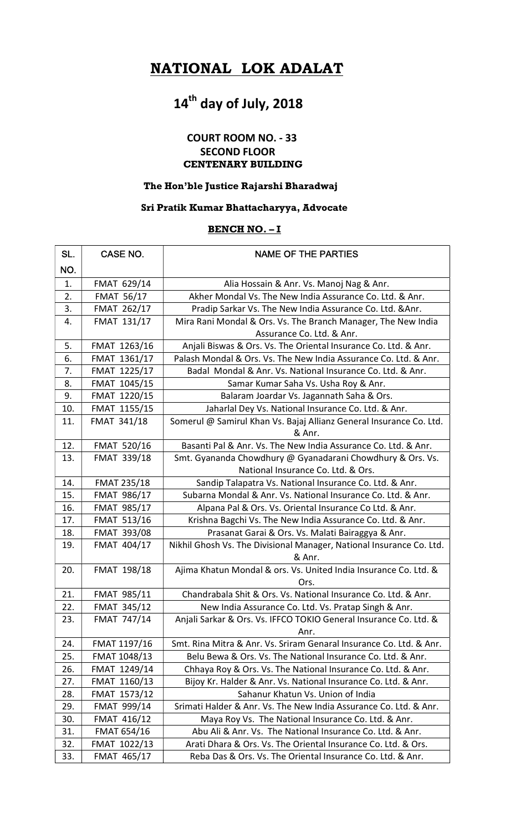## NATIONAL LOK ADALAT

# 14<sup>th</sup> day of July, 2018

### COURT ROOM NO. - 33 SECOND FLOOR CENTENARY BUILDING

#### The Hon'ble Justice Rajarshi Bharadwaj

#### Sri Pratik Kumar Bhattacharyya, Advocate

#### BENCH NO. - I

| SL. | CASE NO.           | <b>NAME OF THE PARTIES</b>                                           |
|-----|--------------------|----------------------------------------------------------------------|
| NO. |                    |                                                                      |
| 1.  | FMAT 629/14        | Alia Hossain & Anr. Vs. Manoj Nag & Anr.                             |
| 2.  | <b>FMAT 56/17</b>  | Akher Mondal Vs. The New India Assurance Co. Ltd. & Anr.             |
| 3.  | FMAT 262/17        | Pradip Sarkar Vs. The New India Assurance Co. Ltd. & Anr.            |
| 4.  | <b>FMAT 131/17</b> | Mira Rani Mondal & Ors. Vs. The Branch Manager, The New India        |
|     |                    | Assurance Co. Ltd. & Anr.                                            |
| 5.  | FMAT 1263/16       | Anjali Biswas & Ors. Vs. The Oriental Insurance Co. Ltd. & Anr.      |
| 6.  | FMAT 1361/17       | Palash Mondal & Ors. Vs. The New India Assurance Co. Ltd. & Anr.     |
| 7.  | FMAT 1225/17       | Badal Mondal & Anr. Vs. National Insurance Co. Ltd. & Anr.           |
| 8.  | FMAT 1045/15       | Samar Kumar Saha Vs. Usha Roy & Anr.                                 |
| 9.  | FMAT 1220/15       | Balaram Joardar Vs. Jagannath Saha & Ors.                            |
| 10. | FMAT 1155/15       | Jaharlal Dey Vs. National Insurance Co. Ltd. & Anr.                  |
| 11. | <b>FMAT 341/18</b> | Somerul @ Samirul Khan Vs. Bajaj Allianz General Insurance Co. Ltd.  |
|     |                    | & Anr.                                                               |
| 12. | <b>FMAT 520/16</b> | Basanti Pal & Anr. Vs. The New India Assurance Co. Ltd. & Anr.       |
| 13. | <b>FMAT 339/18</b> | Smt. Gyananda Chowdhury @ Gyanadarani Chowdhury & Ors. Vs.           |
|     |                    | National Insurance Co. Ltd. & Ors.                                   |
| 14. | <b>FMAT 235/18</b> | Sandip Talapatra Vs. National Insurance Co. Ltd. & Anr.              |
| 15. | <b>FMAT 986/17</b> | Subarna Mondal & Anr. Vs. National Insurance Co. Ltd. & Anr.         |
| 16. | <b>FMAT 985/17</b> | Alpana Pal & Ors. Vs. Oriental Insurance Co Ltd. & Anr.              |
| 17. | <b>FMAT 513/16</b> | Krishna Bagchi Vs. The New India Assurance Co. Ltd. & Anr.           |
| 18. | <b>FMAT 393/08</b> | Prasanat Garai & Ors. Vs. Malati Bairaggya & Anr.                    |
| 19. | FMAT 404/17        | Nikhil Ghosh Vs. The Divisional Manager, National Insurance Co. Ltd. |
|     |                    | & Anr.                                                               |
| 20. | FMAT 198/18        | Ajima Khatun Mondal & ors. Vs. United India Insurance Co. Ltd. &     |
|     |                    | Ors.                                                                 |
| 21. | FMAT 985/11        | Chandrabala Shit & Ors. Vs. National Insurance Co. Ltd. & Anr.       |
| 22. | <b>FMAT 345/12</b> | New India Assurance Co. Ltd. Vs. Pratap Singh & Anr.                 |
| 23. | <b>FMAT 747/14</b> | Anjali Sarkar & Ors. Vs. IFFCO TOKIO General Insurance Co. Ltd. &    |
|     |                    | Anr.                                                                 |
| 24. | FMAT 1197/16       | Smt. Rina Mitra & Anr. Vs. Sriram Genaral Insurance Co. Ltd. & Anr.  |
| 25. | FMAT 1048/13       | Belu Bewa & Ors. Vs. The National Insurance Co. Ltd. & Anr.          |
| 26. | FMAT 1249/14       | Chhaya Roy & Ors. Vs. The National Insurance Co. Ltd. & Anr.         |
| 27. | FMAT 1160/13       | Bijoy Kr. Halder & Anr. Vs. National Insurance Co. Ltd. & Anr.       |
| 28. | FMAT 1573/12       | Sahanur Khatun Vs. Union of India                                    |
| 29. | FMAT 999/14        | Srimati Halder & Anr. Vs. The New India Assurance Co. Ltd. & Anr.    |
| 30. | FMAT 416/12        | Maya Roy Vs. The National Insurance Co. Ltd. & Anr.                  |
| 31. | <b>FMAT 654/16</b> | Abu Ali & Anr. Vs. The National Insurance Co. Ltd. & Anr.            |
| 32. | FMAT 1022/13       | Arati Dhara & Ors. Vs. The Oriental Insurance Co. Ltd. & Ors.        |
| 33. | FMAT 465/17        | Reba Das & Ors. Vs. The Oriental Insurance Co. Ltd. & Anr.           |